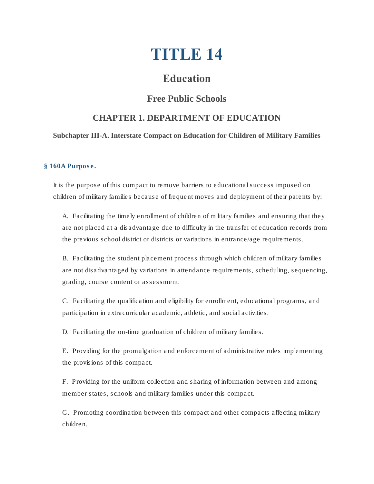# **TITLE 14**

# **Education**

# **Free Public Schools**

# **CHAPTER 1. DEPARTMENT OF EDUCATION**

**Subchapter III-A. Interstate Compact on Education for Children of Military Families**

# § 160A Purpose.

**It is the purpose of this compact to remove barriers to educational success imposed on children of military families because of frequent moves and deployment of their parents by:**

**A. Facilitating the timely enrollment of children of military families and ensuring that they are not placed at a disadvantage due to difficulty in the transfer of education records from the previous school district or districts or variations in entrance/age requirements.**

**B. Facilitating the student placement process through which children of military families are not disadvantaged by variations in attendance requirements, scheduling, sequencing, grading, course content or assessment.**

**C. Facilitating the qualification and eligibility for enrollment, educational programs, and participation in extracurricular academic, athletic, and social activities.**

**D. Facilitating the on-time graduation of children of military families.**

**E. Providing for the promulgation and enforcement of administrative rules implementing the provisions of this compact.**

**F. Providing for the uniform collection and sharing of information between and among member states, schools and military families under this compact.**

**G. Promoting coordination between this compact and other compacts affecting military children.**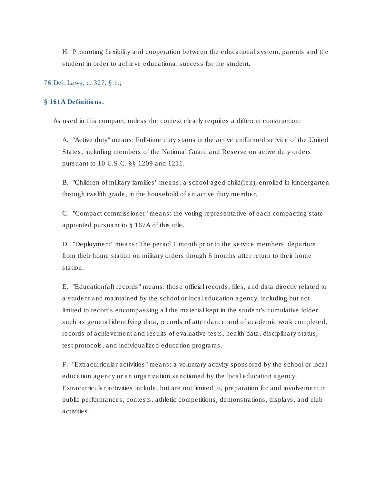**H. Promoting flexibility and cooperation between the educational system, parents and the student in order to achieve educational success for the student.**

# **[76 Del. Laws, c. 327, § 1.;](http://delcode.delaware.gov/sessionlaws/ga144/chp327.shtml)**

#### § 161A Definitions.

**As used in this compact, unless the context clearly requires a different construction:**

**A. "Active duty" means: Full-time duty status in the active uniformed service of the United States, including members of the National Guard and Reserve on active duty orders pursuant to 10 U.S.C. §§ 1209 and 1211.**

**B. "Children of military families" means: a school-aged child(ren), enrolled in kindergarten through twelfth grade, in the household of an active duty member.**

**C. "Compact commissioner" means: the voting representative of each compacting state appointed pursuant to § 167A of this title.**

**D. "Deployment" means: The period 1 month prior to the service members' departure from their home station on military orders though 6 months after return to their home station.**

**E. "Education(al) records" means: those official records, files, and data directly related to a student and maintained by the school or local education agency, including but not limited to records encompassing all the material kept in the student's cumulative folder**  such as general identifying data, records of attendance and of academic work completed, **records of achievement and results of evaluative tests, health data, disciplinary status, test protocols, and individualized education programs.**

**F. "Extracurricular activities" means: a voluntary activity sponsored by the school or local education agency or an organization sanctioned by the local education agency. Extracurricular activities include, but are not limited to, preparation for and involvement in public performances, contests, athletic competitions, demonstrations, displays, and club activities.**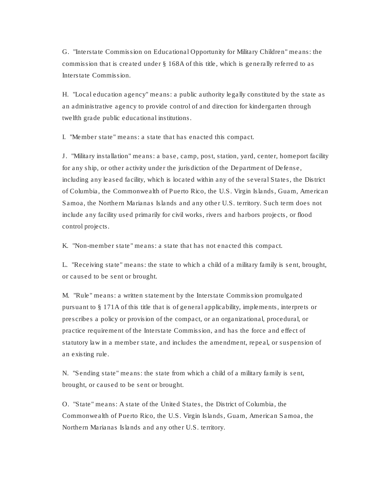**G. "Interstate Commission on Educational Opportunity for Military Children" means: the commission that is created under § 168A of this title, which is generally referred to as Interstate Commission.**

**H. "Local education agency" means: a public authority legally constituted by the state as an administrative agency to provide control of and direction for kindergarten through twelfth grade public educational institutions.**

**I. "Member state" means: a state that has enacted this compact.**

**J. "Military installation" means: a base, camp, post, station, yard, center, homeport facility for any ship, or other activity under the jurisdiction of the Department of Defense, including any leased facility, which is located within any of the several States, the District of Columbia, the Commonwealth of Puerto Rico, the U.S. Virgin Islands, Guam, American Samoa, the Northern Marianas Islands and any other U.S. territory. Such term does not include any facility used primarily for civil works, rivers and harbors projects, or flood control projects.**

**K. "Non-member state" means: a state that has not enacted this compact.**

**L. "Receiving state" means: the state to which a child of a military family is sent, brought, or caused to be sent or brought.**

**M. "Rule" means: a written statement by the Interstate Commission promulgated pursuant to § 171A of this title that is of general applicability, implements, interprets or prescribes a policy or provision of the compact, or an organizational, procedural, or practice requirement of the Interstate Commission, and has the force and effect of statutory law in a member state, and includes the amendment, repeal, or suspension of an existing rule.**

**N. "Sending state" means: the state from which a child of a military family is sent, brought, or caused to be sent or brought.**

**O. "State" means: A state of the United States, the District of Columbia, the Commonwealth of Puerto Rico, the U.S. Virgin Islands, Guam, American Samoa, the Northern Marianas Islands and any other U.S. territory.**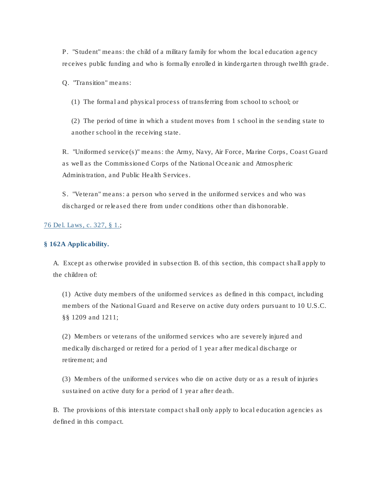**P. "Student" means: the child of a military family for whom the local education agency receives public funding and who is formally enrolled in kindergarten through twelfth grade.**

**Q. "Transition" means:**

**(1) The formal and physical process of transferring from school to school; or**

**(2) The period of time in which a student moves from 1 school in the sending state to another school in the receiving state.**

**R. "Uniformed service(s)" means: the Army, Navy, Air Force, Marine Corps, Coast Guard as well as the Commissioned Corps of the National Oceanic and Atmospheric Administration, and Public Health Services.**

**S. "Veteran" means: a person who served in the uniformed services and who was discharged or released there from under conditions other than dishonorable.**

# **[76 Del. Laws, c. 327, § 1.;](http://delcode.delaware.gov/sessionlaws/ga144/chp327.shtml)**

# § 162A Applicability.

**A. Except as otherwise provided in subsection B. of this section, this compact shall apply to the children of:**

**(1) Active duty members of the uniformed services as defined in this compact, including members of the National Guard and Reserve on active duty orders pursuant to 10 U.S.C. §§ 1209 and 1211;**

**(2) Members or veterans of the uniformed services who are severely injured and medically discharged or retired for a period of 1 year after medical discharge or retirement; and**

**(3) Members of the uniformed services who die on active duty or as a result of injuries sustained on active duty for a period of 1 year after death.**

**B. The provisions of this interstate compact shall only apply to local education agencies as defined in this compact.**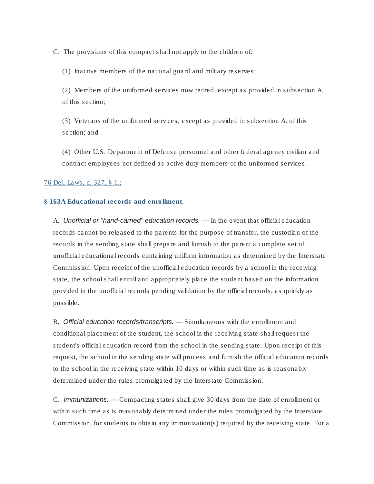**C. The provisions of this compact shall not apply to the children of:**

**(1) Inactive members of the national guard and military reserves;**

**(2) Members of the uniformed services now retired, except as provided in subsection A. of this section;**

**(3) Veterans of the uniformed services, except as provided in subsection A. of this section; and**

**(4) Other U.S. Department of Defense personnel and other federal agency civilian and contract employees not defined as active duty members of the uniformed services.**

# **[76 Del. Laws, c. 327, § 1.;](http://delcode.delaware.gov/sessionlaws/ga144/chp327.shtml)**

# § 163A Educational records and enrollment.

**A.** *Unofficial or "hand-carried" education records.* **— In the event that official education records cannot be released to the parents for the purpose of transfer, the custodian of the records in the sending state shall prepare and furnish to the parent a complete set of unofficial educational records containing uniform information as determined by the Interstate Commission. Upon receipt of the unofficial education records by a school in the receiving state, the school shall enroll and appropriately place the student based on the information provided in the unofficial records pending validation by the official records, as quickly as possible.**

**B.** *Official education records/transcripts.* **— Simultaneous with the enrollment and conditional placement of the student, the school in the receiving state shall request the student's official education record from the school in the sending state. Upon receipt of this request, the school in the sending state will process and furnish the official education records to the school in the receiving state within 10 days or within such time as is reasonably determined under the rules promulgated by the Interstate Commission.**

**C.** *Immunizations.* **— Compacting states shall give 30 days from the date of enrollment or**  within such time as is reasonably determined under the rules promulgated by the Interstate **Commission, for students to obtain any immunization(s) required by the receiving state. For a**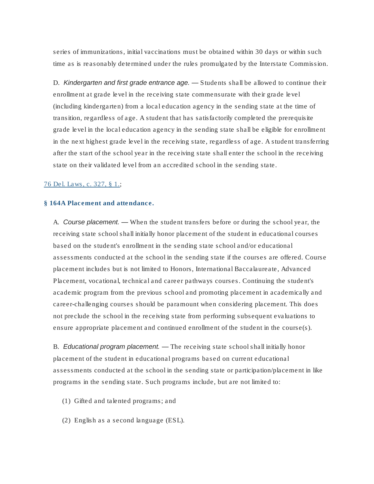**series of immunizations, initial vaccinations must be obtained within 30 days or within such time as is reasonably determined under the rules promulgated by the Interstate Commission.**

**D.** *Kindergarten and first grade entrance age.* **— Students shall be allowed to continue their enrollment at grade level in the receiving state commensurate with their grade level (including kindergarten) from a local education agency in the sending state at the time of transition, regardless of age. A student that has satisfactorily completed the prerequisite grade level in the local education agency in the sending state shall be eligible for enrollment in the next highest grade level in the receiving state, regardless of age. A student transferring after the start of the school year in the receiving state shall enter the school in the receiving state on their validated level from an accredited school in the sending state.**

#### **[76 Del. Laws, c. 327, § 1.;](http://delcode.delaware.gov/sessionlaws/ga144/chp327.shtml)**

#### § 164A Placement and attendance.

**A.** *Course placement.* **— When the student transfers before or during the school year, the receiving state school shall initially honor placement of the student in educational courses based on the student's enrollment in the sending state school and/or educational assessments conducted at the school in the sending state if the courses are offered. Course placement includes but is not limited to Honors, International Baccalaureate, Advanced Placement, vocational, technical and career pathways courses. Continuing the student's academic program from the previous school and promoting placement in academically and career-challenging courses should be paramount when considering placement. This does not preclude the school in the receiving state from performing subsequent evaluations to**  ensure appropriate placement and continued enrollment of the student in the course(s).

**B.** *Educational program placement.* **— The receiving state school shall initially honor placement of the student in educational programs based on current educational assessments conducted at the school in the sending state or participation/placement in like programs in the sending state. Such programs include, but are not limited to:**

- **(1) Gifted and talented programs; and**
- **(2) English as a second language (ESL).**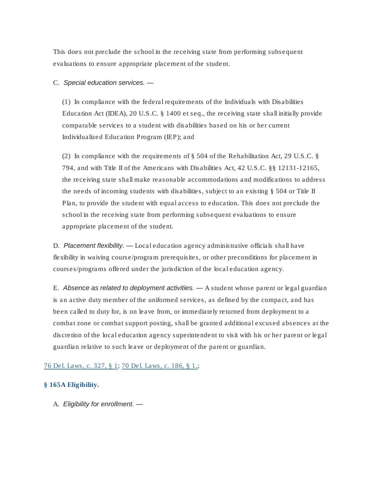**This does not preclude the school in the receiving state from performing subsequent evaluations to ensure appropriate placement of the student.**

# **C.** *Special education services.* **—**

**(1) In compliance with the federal requirements of the Individuals with Disabilities Education Act (IDEA), 20 U.S.C. § 1400 et seq., the receiving state shall initially provide comparable services to a student with disabilities based on his or her current Individualized Education Program (IEP); and**

**(2) In compliance with the requirements of § 504 of the Rehabilitation Act, 29 U.S.C. § 794, and with Title II of the Americans with Disabilities Act, 42 U.S.C. §§ 12131-12165, the receiving state shall make reasonable accommodations and modifications to address the needs of incoming students with disabilities, subject to an existing § 504 or Title II Plan, to provide the student with equal access to education. This does not preclude the school in the receiving state from performing subsequent evaluations to ensure appropriate placement of the student.**

**D.** *Placement flexibility.* **— Local education agency administrative officials shall have flexibility in waiving course/program prerequisites, or other preconditions for placement in courses/programs offered under the jurisdiction of the local education agency.**

**E.** *Absence as related to deployment activities.* **— A student whose parent or legal guardian is an active duty member of the uniformed services, as defined by the compact, and has been called to duty for, is on leave from, or immediately returned from deployment to a combat zone or combat support posting, shall be granted additional excused absences at the discretion of the local education agency superintendent to visit with his or her parent or legal guardian relative to such leave or deployment of the parent or guardian.**

# **[76 Del. Laws, c. 327, § 1;](http://delcode.delaware.gov/sessionlaws/ga144/chp327.shtml) [70 Del. Laws, c. 186, § 1.;](http://delcode.delaware.gov/sessionlaws/ga138/chp186.shtml)**

# § 165A Eligibility.

**A.** *Eligibility for enrollment.* **—**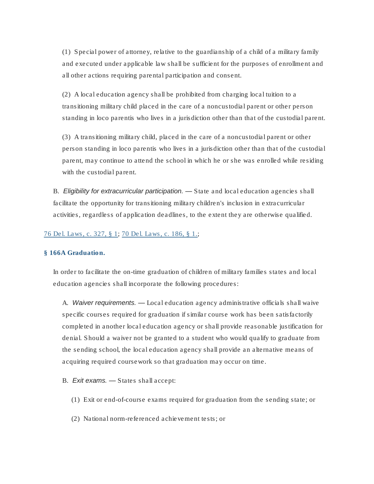**(1) Special power of attorney, relative to the guardianship of a child of a military family and executed under applicable law shall be sufficient for the purposes of enrollment and all other actions requiring parental participation and consent.**

**(2) A local education agency shall be prohibited from charging local tuition to a transitioning military child placed in the care of a noncustodial parent or other person standing in loco parentis who lives in a jurisdiction other than that of the custodial parent.**

**(3) A transitioning military child, placed in the care of a noncustodial parent or other person standing in loco parentis who lives in a jurisdiction other than that of the custodial parent, may continue to attend the school in which he or she was enrolled while residing with the custodial parent.**

**B.** *Eligibility for extracurricular participation.* **— State and local education agencies shall facilitate the opportunity for transitioning military children's inclusion in extracurricular activities, regardless of application deadlines, to the extent they are otherwise qualified.**

#### **[76 Del. Laws, c. 327, § 1;](http://delcode.delaware.gov/sessionlaws/ga144/chp327.shtml) [70 Del. Laws, c. 186, § 1.;](http://delcode.delaware.gov/sessionlaws/ga138/chp186.shtml)**

# § 166A Graduation.

**In order to facilitate the on-time graduation of children of military families states and local education agencies shall incorporate the following procedures:**

**A.** *Waiver requirements.* **— Local education agency administrative officials shall waive specific courses required for graduation if similar course work has been satisfactorily completed in another local education agency or shall provide reasonable justification for denial. Should a waiver not be granted to a student who would qualify to graduate from the sending school, the local education agency shall provide an alternative means of acquiring required coursework so that graduation may occur on time.**

**B.** *Exit exams.* **— States shall accept:**

- **(1) Exit or end-of-course exams required for graduation from the sending state; or**
- **(2) National norm-referenced achievement tests; or**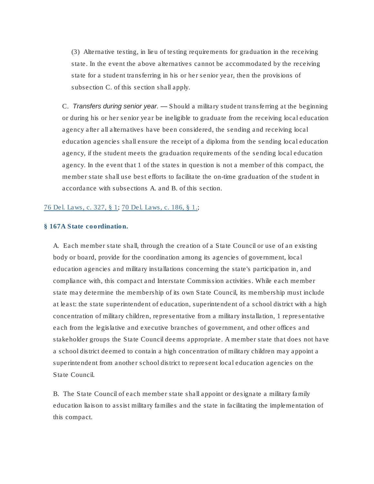**(3) Alternative testing, in lieu of testing requirements for graduation in the receiving state. In the event the above alternatives cannot be accommodated by the receiving state for a student transferring in his or her senior year, then the provisions of subsection C. of this section shall apply.**

**C.** *Transfers during senior year.* **— Should a military student transferring at the beginning or during his or her senior year be ineligible to graduate from the receiving local education agency after all alternatives have been considered, the sending and receiving local education agencies shall ensure the receipt of a diploma from the sending local education agency, if the student meets the graduation requirements of the sending local education agency. In the event that 1 of the states in question is not a member of this compact, the member state shall use best efforts to facilitate the on-time graduation of the student in accordance with subsections A. and B. of this section.**

# **[76 Del. Laws, c. 327, § 1;](http://delcode.delaware.gov/sessionlaws/ga144/chp327.shtml) [70 Del. Laws, c. 186, § 1.;](http://delcode.delaware.gov/sessionlaws/ga138/chp186.shtml)**

# § 167A State coordination.

**A. Each member state shall, through the creation of a State Council or use of an existing body or board, provide for the coordination among its agencies of government, local education agencies and military installations concerning the state's participation in, and compliance with, this compact and Interstate Commission activities. While each member state may determine the membership of its own State Council, its membership must include at least: the state superintendent of education, superintendent of a school district with a high concentration of military children, representative from a military installation, 1 representative each from the legislative and executive branches of government, and other offices and stakeholder groups the State Council deems appropriate. A member state that does not have a school district deemed to contain a high concentration of military children may appoint a superintendent from another school district to represent local education agencies on the State Council.**

**B. The State Council of each member state shall appoint or designate a military family education liaison to assist military families and the state in facilitating the implementation of this compact.**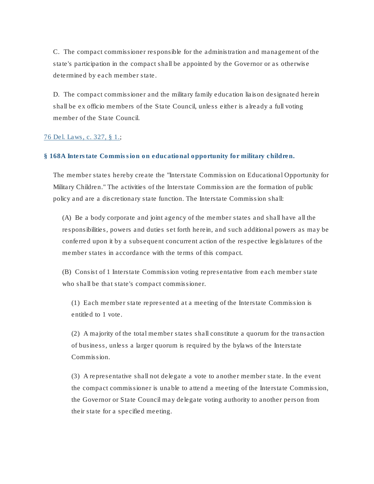**C. The compact commissioner responsible for the administration and management of the state's participation in the compact shall be appointed by the Governor or as otherwise determined by each member state.**

**D. The compact commissioner and the military family education liaison designated herein shall be ex officio members of the State Council, unless either is already a full voting member of the State Council.**

# **[76 Del. Laws, c. 327, § 1.;](http://delcode.delaware.gov/sessionlaws/ga144/chp327.shtml)**

#### § 168A Interstate Commission on educational opportunity for military children.

**The member states hereby create the "Interstate Commission on Educational Opportunity for Military Children." The activities of the Interstate Commission are the formation of public policy and are a discretionary state function. The Interstate Commission shall:**

**(A) Be a body corporate and joint agency of the member states and shall have all the responsibilities, powers and duties set forth herein, and such additional powers as may be conferred upon it by a subsequent concurrent action of the respective legislatures of the member states in accordance with the terms of this compact.**

**(B) Consist of 1 Interstate Commission voting representative from each member state who shall be that state's compact commissioner.**

**(1) Each member state represented at a meeting of the Interstate Commission is entitled to 1 vote.**

**(2) A majority of the total member states shall constitute a quorum for the transaction of business, unless a larger quorum is required by the bylaws of the Interstate Commission.**

**(3) A representative shall not delegate a vote to another member state. In the event the compact commissioner is unable to attend a meeting of the Interstate Commission, the Governor or State Council may delegate voting authority to another person from their state for a specified meeting.**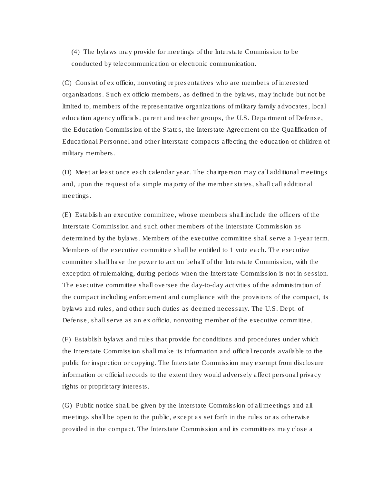**(4) The bylaws may provide for meetings of the Interstate Commission to be conducted by telecommunication or electronic communication.**

**(C) Consist of ex officio, nonvoting representatives who are members of interested organizations. Such ex officio members, as defined in the bylaws, may include but not be limited to, members of the representative organizations of military family advocates, local education agency officials, parent and teacher groups, the U.S. Department of Defense, the Education Commission of the States, the Interstate Agreement on the Qualification of Educational Personnel and other interstate compacts affecting the education of children of military members.**

**(D) Meet at least once each calendar year. The chairperson may call additional meetings and, upon the request of a simple majority of the member states, shall call additional meetings.**

**(E) Establish an executive committee, whose members shall include the officers of the Interstate Commission and such other members of the Interstate Commission as determined by the bylaws. Members of the executive committee shall serve a 1-year term. Members of the executive committee shall be entitled to 1 vote each. The executive committee shall have the power to act on behalf of the Interstate Commission, with the exception of rulemaking, during periods when the Interstate Commission is not in session. The executive committee shall oversee the day-to-day activities of the administration of the compact including enforcement and compliance with the provisions of the compact, its bylaws and rules, and other such duties as deemed necessary. The U.S. Dept. of Defense, shall serve as an ex officio, nonvoting member of the executive committee.**

**(F) Establish bylaws and rules that provide for conditions and procedures under which the Interstate Commission shall make its information and official records available to the public for inspection or copying. The Interstate Commission may exempt from disclosure information or official records to the extent they would adversely affect personal privacy rights or proprietary interests.**

**(G) Public notice shall be given by the Interstate Commission of all meetings and all meetings shall be open to the public, except as set forth in the rules or as otherwise provided in the compact. The Interstate Commission and its committees may close a**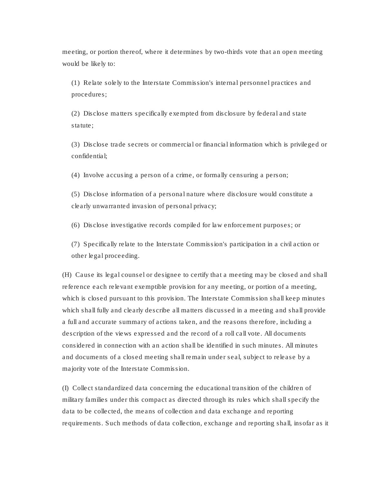**meeting, or portion thereof, where it determines by two-thirds vote that an open meeting would be likely to:**

**(1) Relate solely to the Interstate Commission's internal personnel practices and procedures;**

**(2) Disclose matters specifically exempted from disclosure by federal and state statute;**

**(3) Disclose trade secrets or commercial or financial information which is privileged or confidential;**

**(4) Involve accusing a person of a crime, or formally censuring a person;**

**(5) Disclose information of a personal nature where disclosure would constitute a clearly unwarranted invasion of personal privacy;**

**(6) Disclose investigative records compiled for law enforcement purposes; or**

**(7) Specifically relate to the Interstate Commission's participation in a civil action or other legal proceeding.**

**(H) Cause its legal counsel or designee to certify that a meeting may be closed and shall reference each relevant exemptible provision for any meeting, or portion of a meeting, which is closed pursuant to this provision. The Interstate Commission shall keep minutes which shall fully and clearly describe all matters discussed in a meeting and shall provide a full and accurate summary of actions taken, and the reasons therefore, including a description of the views expressed and the record of a roll call vote. All documents considered in connection with an action shall be identified in such minutes. All minutes and documents of a closed meeting shall remain under seal, subject to release by a majority vote of the Interstate Commission.**

**(I) Collect standardized data concerning the educational transition of the children of military families under this compact as directed through its rules which shall specify the data to be collected, the means of collection and data exchange and reporting requirements. Such methods of data collection, exchange and reporting shall, insofar as it**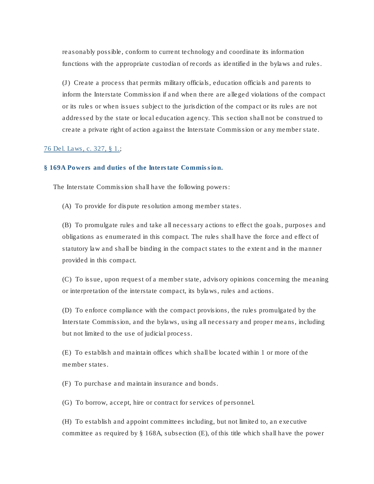**reasonably possible, conform to current technology and coordinate its information functions with the appropriate custodian of records as identified in the bylaws and rules.**

**(J) Create a process that permits military officials, education officials and parents to inform the Interstate Commission if and when there are alleged violations of the compact or its rules or when issues subject to the jurisdiction of the compact or its rules are not addressed by the state or local education agency. This section shall not be construed to create a private right of action against the Interstate Commission or any member state.**

# **[76 Del. Laws, c. 327, § 1.;](http://delcode.delaware.gov/sessionlaws/ga144/chp327.shtml)**

# § 169A Powers and duties of the Interstate Commission.

**The Interstate Commission shall have the following powers:**

**(A) To provide for dispute resolution among member states.**

**(B) To promulgate rules and take all necessary actions to effect the goals, purposes and obligations as enumerated in this compact. The rules shall have the force and effect of statutory law and shall be binding in the compact states to the extent and in the manner provided in this compact.**

**(C) To issue, upon request of a member state, advisory opinions concerning the meaning or interpretation of the interstate compact, its bylaws, rules and actions.**

**(D) To enforce compliance with the compact provisions, the rules promulgated by the Interstate Commission, and the bylaws, using all necessary and proper means, including but not limited to the use of judicial process.**

**(E) To establish and maintain offices which shall be located within 1 or more of the member states.**

**(F) To purchase and maintain insurance and bonds.**

**(G) To borrow, accept, hire or contract for services of personnel.**

**(H) To establish and appoint committees including, but not limited to, an executive committee as required by § 168A, subsection (E), of this title which shall have the power**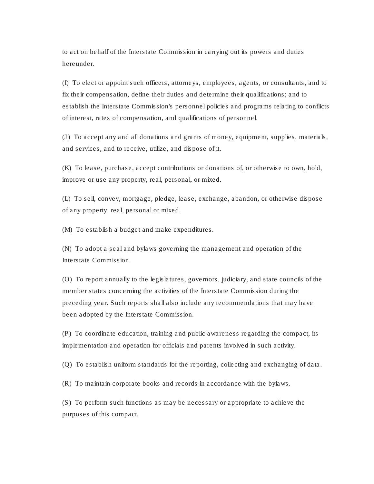**to act on behalf of the Interstate Commission in carrying out its powers and duties hereunder.**

**(I) To elect or appoint such officers, attorneys, employees, agents, or consultants, and to fix their compensation, define their duties and determine their qualifications; and to establish the Interstate Commission's personnel policies and programs relating to conflicts of interest, rates of compensation, and qualifications of personnel.**

**(J) To accept any and all donations and grants of money, equipment, supplies, materials, and services, and to receive, utilize, and dispose of it.**

**(K) To lease, purchase, accept contributions or donations of, or otherwise to own, hold, improve or use any property, real, personal, or mixed.**

**(L) To sell, convey, mortgage, pledge, lease, exchange, abandon, or otherwise dispose of any property, real, personal or mixed.**

**(M) To establish a budget and make expenditures.**

**(N) To adopt a seal and bylaws governing the management and operation of the Interstate Commission.**

**(O) To report annually to the legislatures, governors, judiciary, and state councils of the member states concerning the activities of the Interstate Commission during the preceding year. Such reports shall also include any recommendations that may have been adopted by the Interstate Commission.**

**(P) To coordinate education, training and public awareness regarding the compact, its implementation and operation for officials and parents involved in such activity.**

**(Q) To establish uniform standards for the reporting, collecting and exchanging of data.**

**(R) To maintain corporate books and records in accordance with the bylaws.**

**(S) To perform such functions as may be necessary or appropriate to achieve the purposes of this compact.**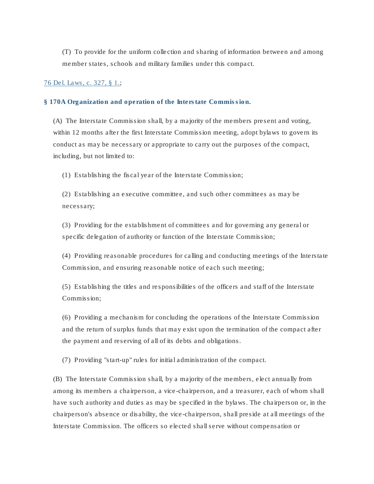**(T) To provide for the uniform collection and sharing of information between and among member states, schools and military families under this compact.**

# **[76 Del. Laws, c. 327, § 1.;](http://delcode.delaware.gov/sessionlaws/ga144/chp327.shtml)**

# § 170A Organization and operation of the Interstate Commission.

**(A) The Interstate Commission shall, by a majority of the members present and voting,**  within 12 months after the first Interstate Commission meeting, adopt bylaws to govern its **conduct as may be necessary or appropriate to carry out the purposes of the compact, including, but not limited to:**

**(1) Establishing the fiscal year of the Interstate Commission;**

**(2) Establishing an executive committee, and such other committees as may be necessary;**

**(3) Providing for the establishment of committees and for governing any general or specific delegation of authority or function of the Interstate Commission;**

**(4) Providing reasonable procedures for calling and conducting meetings of the Interstate Commission, and ensuring reasonable notice of each such meeting;**

**(5) Establishing the titles and responsibilities of the officers and staff of the Interstate Commission;**

**(6) Providing a mechanism for concluding the operations of the Interstate Commission and the return of surplus funds that may exist upon the termination of the compact after the payment and reserving of all of its debts and obligations.**

**(7) Providing "start-up" rules for initial administration of the compact.**

**(B) The Interstate Commission shall, by a majority of the members, elect annually from among its members a chairperson, a vice-chairperson, and a treasurer, each of whom shall have such authority and duties as may be specified in the bylaws. The chairperson or, in the chairperson's absence or disability, the vice-chairperson, shall preside at all meetings of the Interstate Commission. The officers so elected shall serve without compensation or**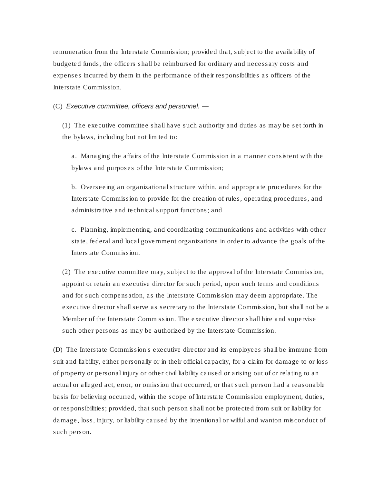**remuneration from the Interstate Commission; provided that, subject to the availability of budgeted funds, the officers shall be reimbursed for ordinary and necessary costs and expenses incurred by them in the performance of their responsibilities as officers of the Interstate Commission.**

**(C)** *Executive committee, officers and personnel.* **—**

**(1) The executive committee shall have such authority and duties as may be set forth in the bylaws, including but not limited to:**

**a. Managing the affairs of the Interstate Commission in a manner consistent with the bylaws and purposes of the Interstate Commission;**

**b. Overseeing an organizational structure within, and appropriate procedures for the Interstate Commission to provide for the creation of rules, operating procedures, and administrative and technical support functions; and**

**c. Planning, implementing, and coordinating communications and activities with other state, federal and local government organizations in order to advance the goals of the Interstate Commission.**

**(2) The executive committee may, subject to the approval of the Interstate Commission, appoint or retain an executive director for such period, upon such terms and conditions and for such compensation, as the Interstate Commission may deem appropriate. The executive director shall serve as secretary to the Interstate Commission, but shall not be a Member of the Interstate Commission. The executive director shall hire and supervise such other persons as may be authorized by the Interstate Commission.**

**(D) The Interstate Commission's executive director and its employees shall be immune from suit and liability, either personally or in their official capacity, for a claim for damage to or loss of property or personal injury or other civil liability caused or arising out of or relating to an actual or alleged act, error, or omission that occurred, or that such person had a reasonable basis for believing occurred, within the scope of Interstate Commission employment, duties, or responsibilities; provided, that such person shall not be protected from suit or liability for damage, loss, injury, or liability caused by the intentional or wilful and wanton misconduct of such person.**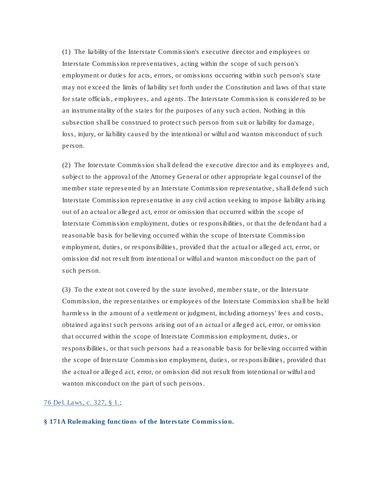**(1) The liability of the Interstate Commission's executive director and employees or Interstate Commission representatives, acting within the scope of such person's employment or duties for acts, errors, or omissions occurring within such person's state may not exceed the limits of liability set forth under the Constitution and laws of that state for state officials, employees, and agents. The Interstate Commission is considered to be an instrumentality of the states for the purposes of any such action. Nothing in this subsection shall be construed to protect such person from suit or liability for damage, loss, injury, or liability caused by the intentional or wilful and wanton misconduct of such person.**

**(2) The Interstate Commission shall defend the executive director and its employees and, subject to the approval of the Attorney General or other appropriate legal counsel of the member state represented by an Interstate Commission representative, shall defend such Interstate Commission representative in any civil action seeking to impose liability arising out of an actual or alleged act, error or omission that occurred within the scope of Interstate Commission employment, duties or responsibilities, or that the defendant had a reasonable basis for believing occurred within the scope of Interstate Commission employment, duties, or responsibilities, provided that the actual or alleged act, error, or omission did not result from intentional or wilful and wanton misconduct on the part of such person.**

**(3) To the extent not covered by the state involved, member state, or the Interstate Commission, the representatives or employees of the Interstate Commission shall be held harmless in the amount of a settlement or judgment, including attorneys' fees and costs, obtained against such persons arising out of an actual or alleged act, error, or omission that occurred within the scope of Interstate Commission employment, duties, or**  responsibilities, or that such persons had a reasonable basis for believing occurred within **the scope of Interstate Commission employment, duties, or responsibilities, provided that the actual or alleged act, error, or omission did not result from intentional or wilful and wanton misconduct on the part of such persons.**

# **[76 Del. Laws, c. 327, § 1.;](http://delcode.delaware.gov/sessionlaws/ga144/chp327.shtml)**

§ 171A Rulemaking functions of the Interstate Commission.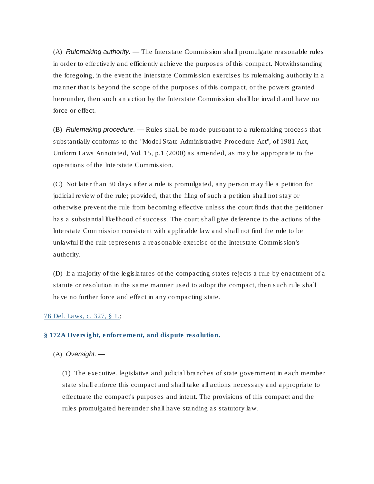**(A)** *Rulemaking authority.* **— The Interstate Commission shall promulgate reasonable rules in order to effectively and efficiently achieve the purposes of this compact. Notwithstanding the foregoing, in the event the Interstate Commission exercises its rulemaking authority in a manner that is beyond the scope of the purposes of this compact, or the powers granted hereunder, then such an action by the Interstate Commission shall be invalid and have no force or effect.**

**(B)** *Rulemaking procedure.* **— Rules shall be made pursuant to a rulemaking process that substantially conforms to the "Model State Administrative Procedure Act", of 1981 Act, Uniform Laws Annotated, Vol. 15, p.1 (2000) as amended, as may be appropriate to the operations of the Interstate Commission.**

**(C) Not later than 30 days after a rule is promulgated, any person may file a petition for judicial review of the rule; provided, that the filing of such a petition shall not stay or otherwise prevent the rule from becoming effective unless the court finds that the petitioner has a substantial likelihood of success. The court shall give deference to the actions of the Interstate Commission consistent with applicable law and shall not find the rule to be unlawful if the rule represents a reasonable exercise of the Interstate Commission's authority.**

**(D) If a majority of the legislatures of the compacting states rejects a rule by enactment of a statute or resolution in the same manner used to adopt the compact, then such rule shall have no further force and effect in any compacting state.**

# **[76 Del. Laws, c. 327, § 1.;](http://delcode.delaware.gov/sessionlaws/ga144/chp327.shtml)**

#### § 172A Oversight, enforcement, and dispute resolution.

**(A)** *Oversight.* **—**

**(1) The executive, legislative and judicial branches of state government in each member state shall enforce this compact and shall take all actions necessary and appropriate to effectuate the compact's purposes and intent. The provisions of this compact and the rules promulgated hereunder shall have standing as statutory law.**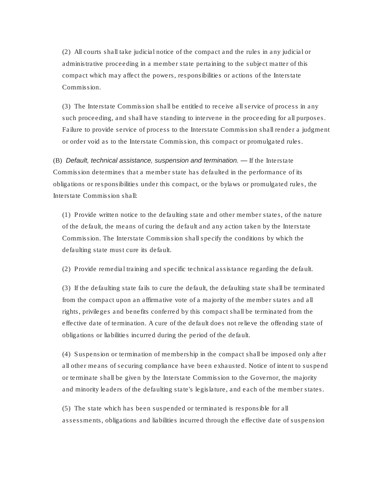**(2) All courts shall take judicial notice of the compact and the rules in any judicial or administrative proceeding in a member state pertaining to the subject matter of this compact which may affect the powers, responsibilities or actions of the Interstate Commission.**

**(3) The Interstate Commission shall be entitled to receive all service of process in any such proceeding, and shall have standing to intervene in the proceeding for all purposes. Failure to provide service of process to the Interstate Commission shall render a judgment or order void as to the Interstate Commission, this compact or promulgated rules.**

**(B)** *Default, technical assistance, suspension and termination.* **— If the Interstate Commission determines that a member state has defaulted in the performance of its obligations or responsibilities under this compact, or the bylaws or promulgated rules, the Interstate Commission shall:**

**(1) Provide written notice to the defaulting state and other member states, of the nature of the default, the means of curing the default and any action taken by the Interstate Commission. The Interstate Commission shall specify the conditions by which the defaulting state must cure its default.**

**(2) Provide remedial training and specific technical assistance regarding the default.**

**(3) If the defaulting state fails to cure the default, the defaulting state shall be terminated from the compact upon an affirmative vote of a majority of the member states and all rights, privileges and benefits conferred by this compact shall be terminated from the effective date of termination. A cure of the default does not relieve the offending state of obligations or liabilities incurred during the period of the default.**

**(4) Suspension or termination of membership in the compact shall be imposed only after all other means of securing compliance have been exhausted. Notice of intent to suspend or terminate shall be given by the Interstate Commission to the Governor, the majority and minority leaders of the defaulting state's legislature, and each of the member states.**

**(5) The state which has been suspended or terminated is responsible for all assessments, obligations and liabilities incurred through the effective date of suspension**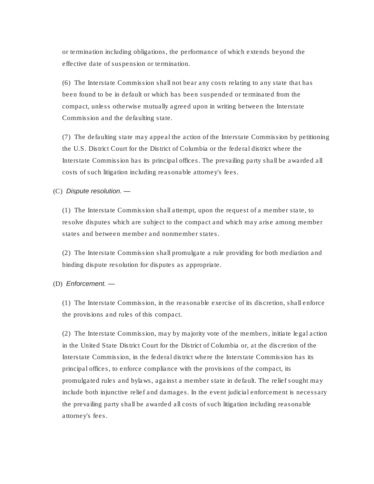**or termination including obligations, the performance of which extends beyond the effective date of suspension or termination.**

**(6) The Interstate Commission shall not bear any costs relating to any state that has been found to be in default or which has been suspended or terminated from the compact, unless otherwise mutually agreed upon in writing between the Interstate Commission and the defaulting state.**

**(7) The defaulting state may appeal the action of the Interstate Commission by petitioning the U.S. District Court for the District of Columbia or the federal district where the Interstate Commission has its principal offices. The prevailing party shall be awarded all costs of such litigation including reasonable attorney's fees.**

**(C)** *Dispute resolution.* **—**

**(1) The Interstate Commission shall attempt, upon the request of a member state, to resolve disputes which are subject to the compact and which may arise among member states and between member and nonmember states.**

**(2) The Interstate Commission shall promulgate a rule providing for both mediation and binding dispute resolution for disputes as appropriate.**

**(D)** *Enforcement.* **—**

**(1) The Interstate Commission, in the reasonable exercise of its discretion, shall enforce the provisions and rules of this compact.**

**(2) The Interstate Commission, may by majority vote of the members, initiate legal action in the United State District Court for the District of Columbia or, at the discretion of the Interstate Commission, in the federal district where the Interstate Commission has its principal offices, to enforce compliance with the provisions of the compact, its promulgated rules and bylaws, against a member state in default. The relief sought may include both injunctive relief and damages. In the event judicial enforcement is necessary the prevailing party shall be awarded all costs of such litigation including reasonable attorney's fees.**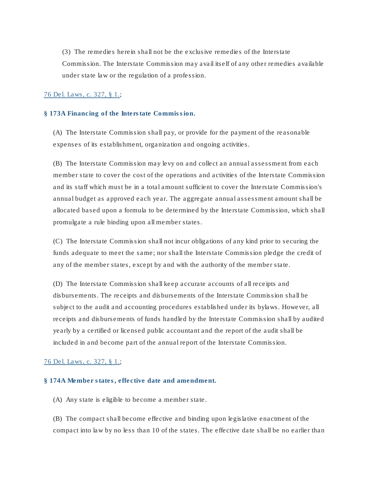**(3) The remedies herein shall not be the exclusive remedies of the Interstate Commission. The Interstate Commission may avail itself of any other remedies available under state law or the regulation of a profession.**

# **[76 Del. Laws, c. 327, § 1.;](http://delcode.delaware.gov/sessionlaws/ga144/chp327.shtml)**

#### § 173A Financing of the Interstate Commission.

**(A) The Interstate Commission shall pay, or provide for the payment of the reasonable expenses of its establishment, organization and ongoing activities.**

**(B) The Interstate Commission may levy on and collect an annual assessment from each member state to cover the cost of the operations and activities of the Interstate Commission and its staff which must be in a total amount sufficient to cover the Interstate Commission's annual budget as approved each year. The aggregate annual assessment amount shall be allocated based upon a formula to be determined by the Interstate Commission, which shall promulgate a rule binding upon all member states.**

**(C) The Interstate Commission shall not incur obligations of any kind prior to securing the funds adequate to meet the same; nor shall the Interstate Commission pledge the credit of any of the member states, except by and with the authority of the member state.**

**(D) The Interstate Commission shall keep accurate accounts of all receipts and disbursements. The receipts and disbursements of the Interstate Commission shall be subject to the audit and accounting procedures established under its bylaws. However, all receipts and disbursements of funds handled by the Interstate Commission shall by audited yearly by a certified or licensed public accountant and the report of the audit shall be included in and become part of the annual report of the Interstate Commission.**

**[76 Del. Laws, c. 327, § 1.;](http://delcode.delaware.gov/sessionlaws/ga144/chp327.shtml)**

# § 174A Member states, effective date and amendment.

**(A) Any state is eligible to become a member state.**

**(B) The compact shall become effective and binding upon legislative enactment of the compact into law by no less than 10 of the states. The effective date shall be no earlier than**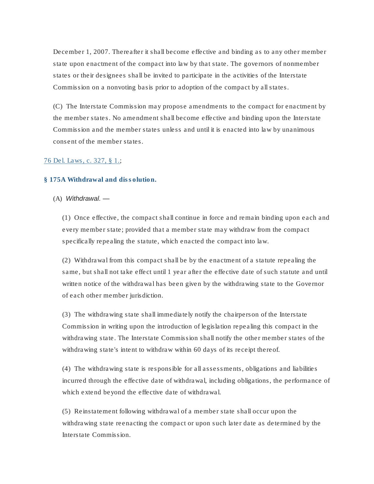**December 1, 2007. Thereafter it shall become effective and binding as to any other member state upon enactment of the compact into law by that state. The governors of nonmember states or their designees shall be invited to participate in the activities of the Interstate Commission on a nonvoting basis prior to adoption of the compact by all states.**

**(C) The Interstate Commission may propose amendments to the compact for enactment by the member states. No amendment shall become effective and binding upon the Interstate Commission and the member states unless and until it is enacted into law by unanimous consent of the member states.**

# **[76 Del. Laws, c. 327, § 1.;](http://delcode.delaware.gov/sessionlaws/ga144/chp327.shtml)**

#### § 175A Withdrawal and dissolution.

**(A)** *Withdrawal.* **—**

**(1) Once effective, the compact shall continue in force and remain binding upon each and every member state; provided that a member state may withdraw from the compact specifically repealing the statute, which enacted the compact into law.**

**(2) Withdrawal from this compact shall be by the enactment of a statute repealing the same, but shall not take effect until 1 year after the effective date of such statute and until written notice of the withdrawal has been given by the withdrawing state to the Governor of each other member jurisdiction.**

**(3) The withdrawing state shall immediately notify the chairperson of the Interstate Commission in writing upon the introduction of legislation repealing this compact in the withdrawing state. The Interstate Commission shall notify the other member states of the withdrawing state's intent to withdraw within 60 days of its receipt thereof.**

**(4) The withdrawing state is responsible for all assessments, obligations and liabilities incurred through the effective date of withdrawal, including obligations, the performance of which extend beyond the effective date of withdrawal.**

**(5) Reinstatement following withdrawal of a member state shall occur upon the withdrawing state reenacting the compact or upon such later date as determined by the Interstate Commission.**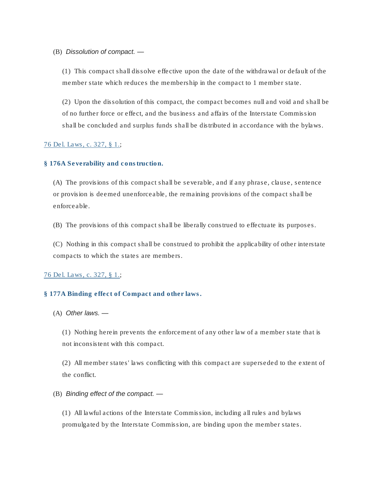**(B)** *Dissolution of compact.* **—**

**(1) This compact shall dissolve effective upon the date of the withdrawal or default of the member state which reduces the membership in the compact to 1 member state.**

**(2) Upon the dissolution of this compact, the compact becomes null and void and shall be of no further force or effect, and the business and affairs of the Interstate Commission shall be concluded and surplus funds shall be distributed in accordance with the bylaws.**

# **[76 Del. Laws, c. 327, § 1.;](http://delcode.delaware.gov/sessionlaws/ga144/chp327.shtml)**

# § 176A Severability and construction.

**(A) The provisions of this compact shall be severable, and if any phrase, clause, sentence or provision is deemed unenforceable, the remaining provisions of the compact shall be enforceable.**

**(B) The provisions of this compact shall be liberally construed to effectuate its purposes.**

**(C) Nothing in this compact shall be construed to prohibit the applicability of other interstate compacts to which the states are members.**

# **[76 Del. Laws, c. 327, § 1.;](http://delcode.delaware.gov/sessionlaws/ga144/chp327.shtml)**

# § 177A Binding effect of Compact and other laws.

**(A)** *Other laws.* **—**

**(1) Nothing herein prevents the enforcement of any other law of a member state that is not inconsistent with this compact.**

**(2) All member states' laws conflicting with this compact are superseded to the extent of the conflict.**

**(B)** *Binding effect of the compact.* **—**

**(1) All lawful actions of the Interstate Commission, including all rules and bylaws promulgated by the Interstate Commission, are binding upon the member states.**